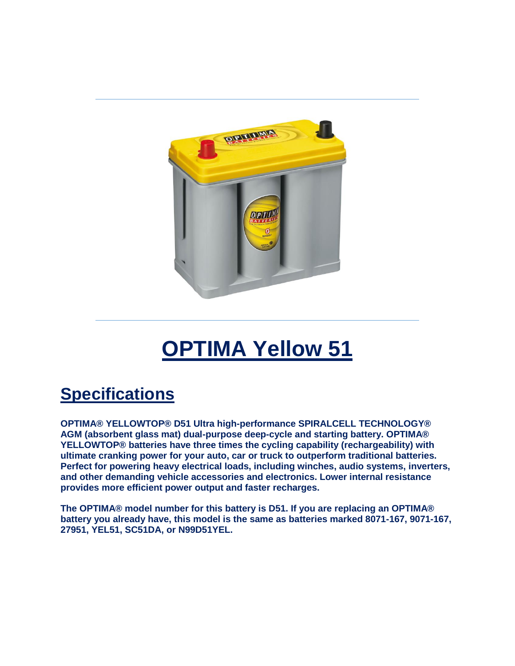

## **OPTIMA Yellow 51**

## **Specifications**

**OPTIMA® YELLOWTOP® D51 Ultra high-performance SPIRALCELL TECHNOLOGY® AGM (absorbent glass mat) dual-purpose deep-cycle and starting battery. OPTIMA® YELLOWTOP® batteries have three times the cycling capability (rechargeability) with ultimate cranking power for your auto, car or truck to outperform traditional batteries. Perfect for powering heavy electrical loads, including winches, audio systems, inverters, and other demanding vehicle accessories and electronics. Lower internal resistance provides more efficient power output and faster recharges.**

**The OPTIMA® model number for this battery is D51. If you are replacing an OPTIMA® battery you already have, this model is the same as batteries marked 8071-167, 9071-167, 27951, YEL51, SC51DA, or N99D51YEL.**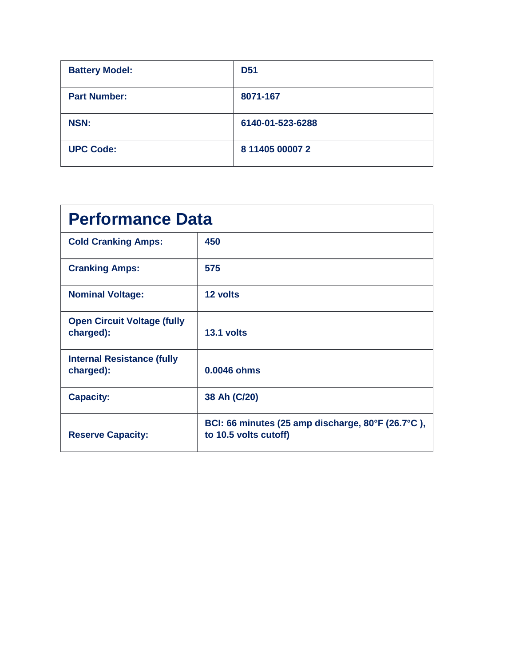| <b>Battery Model:</b> | <b>D51</b>       |
|-----------------------|------------------|
| <b>Part Number:</b>   | 8071-167         |
| <b>NSN:</b>           | 6140-01-523-6288 |
| <b>UPC Code:</b>      | 8 11405 00007 2  |

| <b>Performance Data</b>                         |                                                                            |  |
|-------------------------------------------------|----------------------------------------------------------------------------|--|
| <b>Cold Cranking Amps:</b>                      | 450                                                                        |  |
| <b>Cranking Amps:</b>                           | 575                                                                        |  |
| <b>Nominal Voltage:</b>                         | 12 volts                                                                   |  |
| <b>Open Circuit Voltage (fully</b><br>charged): | 13.1 volts                                                                 |  |
| <b>Internal Resistance (fully</b><br>charged):  | 0.0046 ohms                                                                |  |
| <b>Capacity:</b>                                | 38 Ah (C/20)                                                               |  |
| <b>Reserve Capacity:</b>                        | BCI: 66 minutes (25 amp discharge, 80°F (26.7°C),<br>to 10.5 volts cutoff) |  |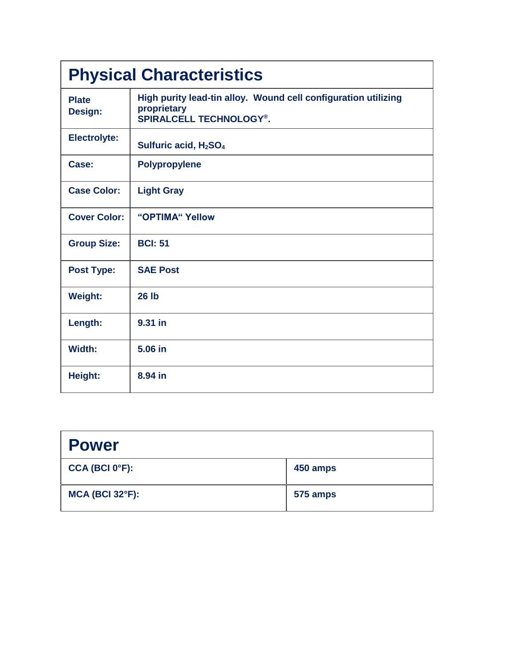| <b>Physical Characteristics</b> |                                                                                                                 |  |
|---------------------------------|-----------------------------------------------------------------------------------------------------------------|--|
| <b>Plate</b><br>Design:         | High purity lead-tin alloy. Wound cell configuration utilizing<br>proprietary<br><b>SPIRALCELL TECHNOLOGY®.</b> |  |
| <b>Electrolyte:</b>             | Sulfuric acid, H <sub>2</sub> SO <sub>4</sub>                                                                   |  |
| Case:                           | <b>Polypropylene</b>                                                                                            |  |
| <b>Case Color:</b>              | <b>Light Gray</b>                                                                                               |  |
| <b>Cover Color:</b>             | "OPTIMA" Yellow                                                                                                 |  |
| <b>Group Size:</b>              | <b>BCI: 51</b>                                                                                                  |  |
| <b>Post Type:</b>               | <b>SAE Post</b>                                                                                                 |  |
| <b>Weight:</b>                  | <b>26 lb</b>                                                                                                    |  |
| Length:                         | 9.31 in                                                                                                         |  |
| Width:                          | 5.06 in                                                                                                         |  |
| Height:                         | 8.94 in                                                                                                         |  |

| <b>Power</b>                |          |
|-----------------------------|----------|
| CCA (BCI 0 <sup>o</sup> F): | 450 amps |
| <b>MCA (BCI 32°F):</b>      | 575 amps |